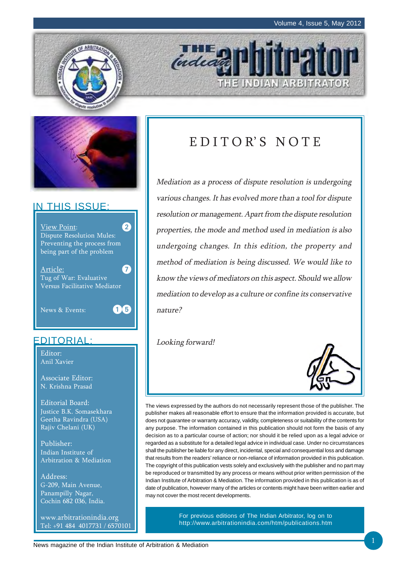

# IN THIS ISSUE:



# EDITORIAL:

Editor: Anil Xavier

Associate Editor: N. Krishna Prasad

Editorial Board: Justice B.K. Somasekhara Geetha Ravindra (USA) Rajiv Chelani (UK)

Publisher: Indian Institute of Arbitration & Mediation

Address: G-209, Main Avenue, Panampilly Nagar, Cochin 682 036, India.

www.arbitrationindia.org Tel: +91 484 4017731 / 6570101

# EDITOR'S NOTE

THE INDIAN ARBITRATOR

**THE** 

Mediation as a process of dispute resolution is undergoing various changes. It has evolved more than a tool for dispute resolution or management. Apart from the dispute resolution properties, the mode and method used in mediation is also undergoing changes. In this edition, the property and method of mediation is being discussed. We would like to know the views of mediators on this aspect. Should we allow mediation to develop as a culture or confine its conservative nature?

Looking forward!



The views expressed by the authors do not necessarily represent those of the publisher. The publisher makes all reasonable effort to ensure that the information provided is accurate, but does not guarantee or warranty accuracy, validity, completeness or suitability of the contents for any purpose. The information contained in this publication should not form the basis of any decision as to a particular course of action; nor should it be relied upon as a legal advice or regarded as a substitute for a detailed legal advice in individual case. Under no circumstances shall the publisher be liable for any direct, incidental, special and consequential loss and damage that results from the readers' reliance or non-reliance of information provided in this publication. The copyright of this publication vests solely and exclusively with the publisher and no part may be reproduced or transmitted by any process or means without prior written permission of the Indian Institute of Arbitration & Mediation. The information provided in this publication is as of date of publication, however many of the articles or contents might have been written earlier and may not cover the most recent developments.

> For previous editions of The Indian Arbitrator, log on to http://www.arbitrationindia.com/htm/publications.htm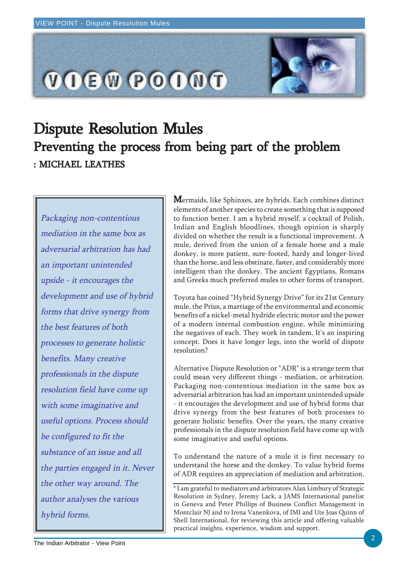

# Dispute Resolution Mules Preventing the process from being part of the problem : MICHAEL LEATHES

Packaging non-contentious mediation in the same box as adversarial arbitration has had an important unintended upside - it encourages the development and use of hybrid forms that drive synergy from the best features of both processes to generate holistic benefits. Many creative professionals in the dispute resolution field have come up with some imaginative and useful options. Process should be configured to fit the substance of an issue and all the parties engaged in it. Never the other way around. The author analyses the various hybrid forms.

 $\mathbf M$ ermaids, like Sphinxes, are hybrids. Each combines distinct elements of another species to create something that is supposed to function better. I am a hybrid myself, a cocktail of Polish, Indian and English bloodlines, though opinion is sharply divided on whether the result is a functional improvement. A mule, derived from the union of a female horse and a male donkey, is more patient, sure-footed, hardy and longer-lived than the horse, and less obstinate, faster, and considerably more intelligent than the donkey. The ancient Egyptians, Romans and Greeks much preferred mules to other forms of transport.

Toyota has coined "Hybrid Synergy Drive" for its 21st Century mule, the Prius, a marriage of the environmental and economic benefits of a nickel-metal hydride electric motor and the power of a modern internal combustion engine, while minimizing the negatives of each. They work in tandem. It's an inspiring concept. Does it have longer legs, into the world of dispute resolution?

Alternative Dispute Resolution or "ADR" is a strange term that could mean very different things - mediation, or arbitration. Packaging non-contentious mediation in the same box as adversarial arbitration has had an important unintended upside - it encourages the development and use of hybrid forms that drive synergy from the best features of both processes to generate holistic benefits. Over the years, the many creative professionals in the dispute resolution field have come up with some imaginative and useful options.

To understand the nature of a mule it is first necessary to understand the horse and the donkey. To value hybrid forms of ADR requires an appreciation of mediation and arbitration.

\* I am grateful to mediators and arbitrators Alan Limbury of Strategic Resolution in Sydney, Jeremy Lack, a JAMS International panelist in Geneva and Peter Phillips of Business Conflict Management in Montclair NJ and to Irena Vanenkova, of IMI and Ute Joas Quinn of Shell International, for reviewing this article and offering valuable practical insights, experience, wisdom and support.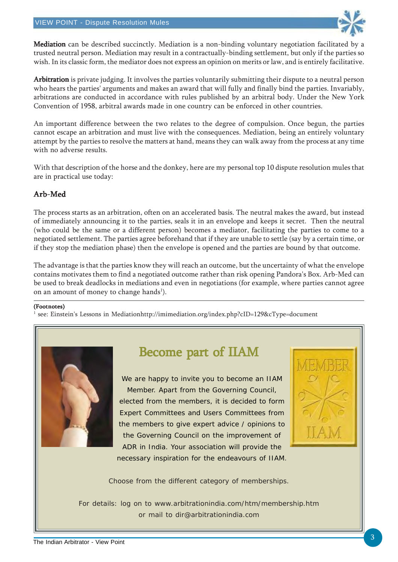

Mediation can be described succinctly. Mediation is a non-binding voluntary negotiation facilitated by a trusted neutral person. Mediation may result in a contractually-binding settlement, but only if the parties so wish. In its classic form, the mediator does not express an opinion on merits or law, and is entirely facilitative.

Arbitration is private judging. It involves the parties voluntarily submitting their dispute to a neutral person who hears the parties' arguments and makes an award that will fully and finally bind the parties. Invariably, arbitrations are conducted in accordance with rules published by an arbitral body. Under the New York Convention of 1958, arbitral awards made in one country can be enforced in other countries.

An important difference between the two relates to the degree of compulsion. Once begun, the parties cannot escape an arbitration and must live with the consequences. Mediation, being an entirely voluntary attempt by the parties to resolve the matters at hand, means they can walk away from the process at any time with no adverse results.

With that description of the horse and the donkey, here are my personal top 10 dispute resolution mules that are in practical use today:

# Arb-Med

The process starts as an arbitration, often on an accelerated basis. The neutral makes the award, but instead of immediately announcing it to the parties, seals it in an envelope and keeps it secret. Then the neutral (who could be the same or a different person) becomes a mediator, facilitating the parties to come to a negotiated settlement. The parties agree beforehand that if they are unable to settle (say by a certain time, or if they stop the mediation phase) then the envelope is opened and the parties are bound by that outcome.

The advantage is that the parties know they will reach an outcome, but the uncertainty of what the envelope contains motivates them to find a negotiated outcome rather than risk opening Pandora's Box. Arb-Med can be used to break deadlocks in mediations and even in negotiations (for example, where parties cannot agree on an amount of money to change hands<sup>1</sup>).

#### (Footnotes)

1 see: Einstein's Lessons in Mediationhttp://imimediation.org/index.php?cID=129&cType=document



# Become part of IIAM

We are happy to invite you to become an IIAM Member. Apart from the Governing Council, elected from the members, it is decided to form Expert Committees and Users Committees from the members to give expert advice / opinions to the Governing Council on the improvement of ADR in India. Your association will provide the necessary inspiration for the endeavours of IIAM.



Choose from the different category of memberships.

For details: log on to www.arbitrationindia.com/htm/membership.htm or mail to dir@arbitrationindia.com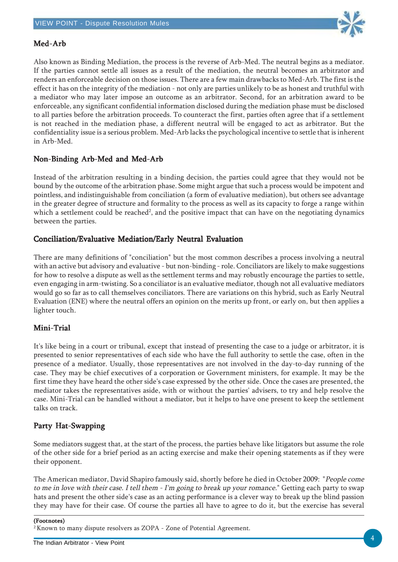

# Med-Arb

Also known as Binding Mediation, the process is the reverse of Arb-Med. The neutral begins as a mediator. If the parties cannot settle all issues as a result of the mediation, the neutral becomes an arbitrator and renders an enforceable decision on those issues. There are a few main drawbacks to Med-Arb. The first is the effect it has on the integrity of the mediation - not only are parties unlikely to be as honest and truthful with a mediator who may later impose an outcome as an arbitrator. Second, for an arbitration award to be enforceable, any significant confidential information disclosed during the mediation phase must be disclosed to all parties before the arbitration proceeds. To counteract the first, parties often agree that if a settlement is not reached in the mediation phase, a different neutral will be engaged to act as arbitrator. But the confidentiality issue is a serious problem. Med-Arb lacks the psychological incentive to settle that is inherent in Arb-Med.

## Non-Binding Arb-Med and Med-Arb

Instead of the arbitration resulting in a binding decision, the parties could agree that they would not be bound by the outcome of the arbitration phase. Some might argue that such a process would be impotent and pointless, and indistinguishable from conciliation (a form of evaluative mediation), but others see advantage in the greater degree of structure and formality to the process as well as its capacity to forge a range within which a settlement could be reached<sup>2</sup>, and the positive impact that can have on the negotiating dynamics between the parties.

## Conciliation/Evaluative Mediation/Early Neutral Evaluation

There are many definitions of "conciliation" but the most common describes a process involving a neutral with an active but advisory and evaluative - but non-binding - role. Conciliators are likely to make suggestions for how to resolve a dispute as well as the settlement terms and may robustly encourage the parties to settle, even engaging in arm-twisting. So a conciliator is an evaluative mediator, though not all evaluative mediators would go so far as to call themselves conciliators. There are variations on this hybrid, such as Early Neutral Evaluation (ENE) where the neutral offers an opinion on the merits up front, or early on, but then applies a lighter touch.

## Mini-Trial

It's like being in a court or tribunal, except that instead of presenting the case to a judge or arbitrator, it is presented to senior representatives of each side who have the full authority to settle the case, often in the presence of a mediator. Usually, those representatives are not involved in the day-to-day running of the case. They may be chief executives of a corporation or Government ministers, for example. It may be the first time they have heard the other side's case expressed by the other side. Once the cases are presented, the mediator takes the representatives aside, with or without the parties' advisers, to try and help resolve the case. Mini-Trial can be handled without a mediator, but it helps to have one present to keep the settlement talks on track.

## Party Hat-Swapping

Some mediators suggest that, at the start of the process, the parties behave like litigators but assume the role of the other side for a brief period as an acting exercise and make their opening statements as if they were their opponent.

The American mediator, David Shapiro famously said, shortly before he died in October 2009: "People come to me in love with their case. I tell them - I'm going to break up your romance." Getting each party to swap hats and present the other side's case as an acting performance is a clever way to break up the blind passion they may have for their case. Of course the parties all have to agree to do it, but the exercise has several

(Footnotes)

<sup>2</sup> Known to many dispute resolvers as ZOPA - Zone of Potential Agreement.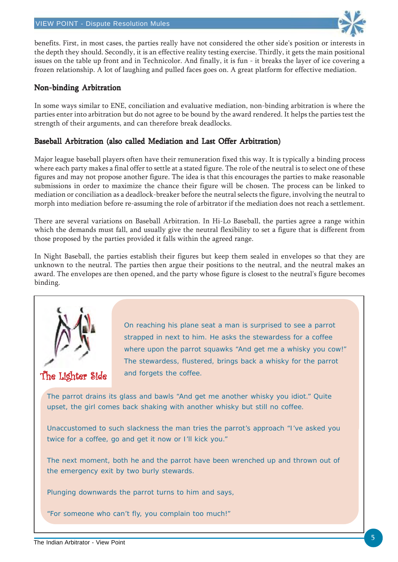

benefits. First, in most cases, the parties really have not considered the other side's position or interests in the depth they should. Secondly, it is an effective reality testing exercise. Thirdly, it gets the main positional issues on the table up front and in Technicolor. And finally, it is fun - it breaks the layer of ice covering a frozen relationship. A lot of laughing and pulled faces goes on. A great platform for effective mediation.

### Non-binding Arbitration

In some ways similar to ENE, conciliation and evaluative mediation, non-binding arbitration is where the parties enter into arbitration but do not agree to be bound by the award rendered. It helps the parties test the strength of their arguments, and can therefore break deadlocks.

### Baseball Arbitration (also called Mediation and Last Offer Arbitration)

Major league baseball players often have their remuneration fixed this way. It is typically a binding process where each party makes a final offer to settle at a stated figure. The role of the neutral is to select one of these figures and may not propose another figure. The idea is that this encourages the parties to make reasonable submissions in order to maximize the chance their figure will be chosen. The process can be linked to mediation or conciliation as a deadlock-breaker before the neutral selects the figure, involving the neutral to morph into mediation before re-assuming the role of arbitrator if the mediation does not reach a settlement.

There are several variations on Baseball Arbitration. In Hi-Lo Baseball, the parties agree a range within which the demands must fall, and usually give the neutral flexibility to set a figure that is different from those proposed by the parties provided it falls within the agreed range.

In Night Baseball, the parties establish their figures but keep them sealed in envelopes so that they are unknown to the neutral. The parties then argue their positions to the neutral, and the neutral makes an award. The envelopes are then opened, and the party whose figure is closest to the neutral's figure becomes binding.



The Lighter Side

On reaching his plane seat a man is surprised to see a parrot strapped in next to him. He asks the stewardess for a coffee where upon the parrot squawks "And get me a whisky you cow!" The stewardess, flustered, brings back a whisky for the parrot and forgets the coffee.

The parrot drains its glass and bawls "And get me another whisky you idiot." Quite upset, the girl comes back shaking with another whisky but still no coffee.

Unaccustomed to such slackness the man tries the parrot's approach "I've asked you twice for a coffee, go and get it now or I'll kick you."

The next moment, both he and the parrot have been wrenched up and thrown out of the emergency exit by two burly stewards.

Plunging downwards the parrot turns to him and says,

"For someone who can't fly, you complain too much!"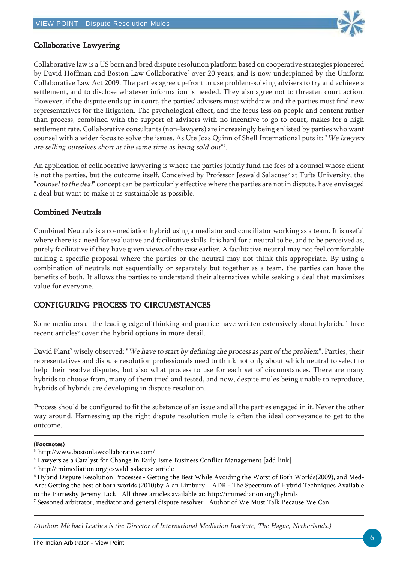

## Collaborative Lawyering

Collaborative law is a US born and bred dispute resolution platform based on cooperative strategies pioneered by David Hoffman and Boston Law Collaborative<sup>3</sup> over 20 years, and is now underpinned by the Uniform Collaborative Law Act 2009. The parties agree up-front to use problem-solving advisers to try and achieve a settlement, and to disclose whatever information is needed. They also agree not to threaten court action. However, if the dispute ends up in court, the parties' advisers must withdraw and the parties must find new representatives for the litigation. The psychological effect, and the focus less on people and content rather than process, combined with the support of advisers with no incentive to go to court, makes for a high settlement rate. Collaborative consultants (non-lawyers) are increasingly being enlisted by parties who want counsel with a wider focus to solve the issues. As Ute Joas Quinn of Shell International puts it: "We lawyers are selling ourselves short at the same time as being sold out"4 .

An application of collaborative lawyering is where the parties jointly fund the fees of a counsel whose client is not the parties, but the outcome itself. Conceived by Professor Jeswald Salacuse<sup>5</sup> at Tufts University, the "counsel to the deal" concept can be particularly effective where the parties are not in dispute, have envisaged a deal but want to make it as sustainable as possible.

## Combined Neutrals Combined

Combined Neutrals is a co-mediation hybrid using a mediator and conciliator working as a team. It is useful where there is a need for evaluative and facilitative skills. It is hard for a neutral to be, and to be perceived as, purely facilitative if they have given views of the case earlier. A facilitative neutral may not feel comfortable making a specific proposal where the parties or the neutral may not think this appropriate. By using a combination of neutrals not sequentially or separately but together as a team, the parties can have the benefits of both. It allows the parties to understand their alternatives while seeking a deal that maximizes value for everyone.

# CONFIGURING PROCESS TO CIRCUMSTANCES

Some mediators at the leading edge of thinking and practice have written extensively about hybrids. Three recent articles<sup>6</sup> cover the hybrid options in more detail.

David Plant<sup>7</sup> wisely observed: "*We have to start by defining the process as part of the problem*". Parties, their representatives and dispute resolution professionals need to think not only about which neutral to select to help their resolve disputes, but also what process to use for each set of circumstances. There are many hybrids to choose from, many of them tried and tested, and now, despite mules being unable to reproduce, hybrids of hybrids are developing in dispute resolution.

Process should be configured to fit the substance of an issue and all the parties engaged in it. Never the other way around. Harnessing up the right dispute resolution mule is often the ideal conveyance to get to the outcome.

#### (Footnotes)

(Author: Michael Leathes is the Director of International Mediation Institute, The Hague, Netherlands.)

<sup>3</sup> http://www.bostonlawcollaborative.com/

<sup>4</sup> Lawyers as a Catalyst for Change in Early Issue Business Conflict Management [add link]

<sup>5</sup> http://imimediation.org/jeswald-salacuse-article

<sup>6</sup> Hybrid Dispute Resolution Processes - Getting the Best While Avoiding the Worst of Both Worlds(2009), and Med-Arb: Getting the best of both worlds (2010)by Alan Limbury. ADR - The Spectrum of Hybrid Techniques Available to the Partiesby Jeremy Lack. All three articles available at: http://imimediation.org/hybrids

 $^7$  Seasoned arbitrator, mediator and general dispute resolver. Author of We Must Talk Because We Can.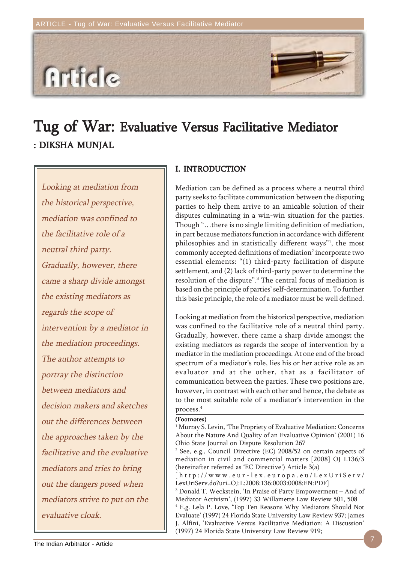

# Tug of War: Evaluative Versus Facilitative Mediator : DIKSHA MUNJAL

Looking at mediation from the historical perspective, mediation was confined to the facilitative role of a neutral third party. Gradually, however, there came a sharp divide amongst the existing mediators as regards the scope of intervention by a mediator in the mediation proceedings. The author attempts to portray the distinction between mediators and decision makers and sketches out the differences between the approaches taken by the facilitative and the evaluative mediators and tries to bring out the dangers posed when mediators strive to put on the evaluative cloak.

### I. INTRODUCTION

Mediation can be defined as a process where a neutral third party seeks to facilitate communication between the disputing parties to help them arrive to an amicable solution of their disputes culminating in a win-win situation for the parties. Though "…there is no single limiting definition of mediation, in part because mediators function in accordance with different philosophies and in statistically different ways"1 , the most commonly accepted definitions of mediation<sup>2</sup> incorporate two essential elements: "(1) third-party facilitation of dispute settlement, and (2) lack of third-party power to determine the resolution of the dispute".<sup>3</sup> The central focus of mediation is based on the principle of parties' self-determination. To further this basic principle, the role of a mediator must be well defined.

Looking at mediation from the historical perspective, mediation was confined to the facilitative role of a neutral third party. Gradually, however, there came a sharp divide amongst the existing mediators as regards the scope of intervention by a mediator in the mediation proceedings. At one end of the broad spectrum of a mediator's role, lies his or her active role as an evaluator and at the other, that as a facilitator of communication between the parties. These two positions are, however, in contrast with each other and hence, the debate as to the most suitable role of a mediator's intervention in the process.4

#### (Footnotes)

1 Murray S. Levin, 'The Propriety of Evaluative Mediation: Concerns About the Nature And Quality of an Evaluative Opinion' (2001) 16 Ohio State Journal on Dispute Resolution 267 2 See, e.g., Council Directive (EC) 2008/52 on certain aspects of

mediation in civil and commercial matters [2008] OJ L136/3 (hereinafter referred as 'EC Directive') Article 3(a)

[http://www.eur-lex.europa.eu/LexUriServ/ LexUriServ.do?uri=OJ:L:2008:136:0003:0008:EN:PDF]

3 Donald T. Weckstein, 'In Praise of Party Empowerment – And of Mediator Activism', (1997) 33 Willamette Law Review 501, 508 4 E.g. Lela P. Love, 'Top Ten Reasons Why Mediators Should Not Evaluate' (1997) 24 Florida State University Law Review 937; James J. Alfini, 'Evaluative Versus Facilitative Mediation: A Discussion' (1997) 24 Florida State University Law Review 919;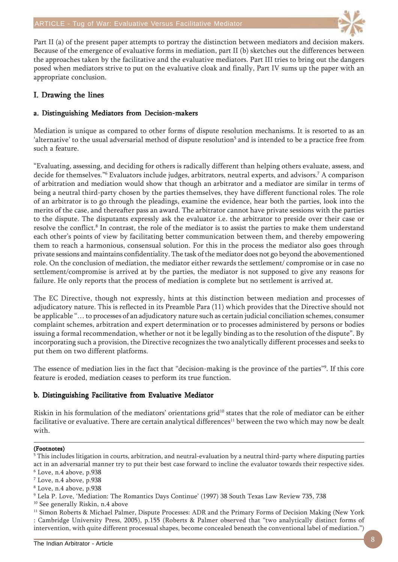

Part II (a) of the present paper attempts to portray the distinction between mediators and decision makers. Because of the emergence of evaluative forms in mediation, part II (b) sketches out the differences between the approaches taken by the facilitative and the evaluative mediators. Part III tries to bring out the dangers posed when mediators strive to put on the evaluative cloak and finally, Part IV sums up the paper with an appropriate conclusion.

# I. Drawing the lines

### a. Distinguishing Mediators from Decision-makers

Mediation is unique as compared to other forms of dispute resolution mechanisms. It is resorted to as an 'alternative' to the usual adversarial method of dispute resolution<sup>5</sup> and is intended to be a practice free from such a feature.

"Evaluating, assessing, and deciding for others is radically different than helping others evaluate, assess, and decide for themselves."6 Evaluators include judges, arbitrators, neutral experts, and advisors.7 A comparison of arbitration and mediation would show that though an arbitrator and a mediator are similar in terms of being a neutral third-party chosen by the parties themselves, they have different functional roles. The role of an arbitrator is to go through the pleadings, examine the evidence, hear both the parties, look into the merits of the case, and thereafter pass an award. The arbitrator cannot have private sessions with the parties to the dispute. The disputants expressly ask the evaluator i.e. the arbitrator to preside over their case or resolve the conflict.<sup>8</sup> In contrast, the role of the mediator is to assist the parties to make them understand each other's points of view by facilitating better communication between them, and thereby empowering them to reach a harmonious, consensual solution. For this in the process the mediator also goes through private sessions and maintains confidentiality. The task of the mediator does not go beyond the abovementioned role. On the conclusion of mediation, the mediator either rewards the settlement/ compromise or in case no settlement/compromise is arrived at by the parties, the mediator is not supposed to give any reasons for failure. He only reports that the process of mediation is complete but no settlement is arrived at.

The EC Directive, though not expressly, hints at this distinction between mediation and processes of adjudicatory nature. This is reflected in its Preamble Para (11) which provides that the Directive should not be applicable "… to processes of an adjudicatory nature such as certain judicial conciliation schemes, consumer complaint schemes, arbitration and expert determination or to processes administered by persons or bodies issuing a formal recommendation, whether or not it be legally binding as to the resolution of the dispute". By incorporating such a provision, the Directive recognizes the two analytically different processes and seeks to put them on two different platforms.

The essence of mediation lies in the fact that "decision-making is the province of the parties"9 . If this core feature is eroded, mediation ceases to perform its true function.

### b. Distinguishing Facilitative from Evaluative Mediator

Riskin in his formulation of the mediators' orientations grid<sup>10</sup> states that the role of mediator can be either facilitative or evaluative. There are certain analytical differences<sup>11</sup> between the two which may now be dealt with.

#### (Footnotes)

- 6 Love, n.4 above, p.938
- $^7$  Love, n.4 above, p.938
- 8 Love, n.4 above, p.938
- 9 Lela P. Love, 'Mediation: The Romantics Days Continue' (1997) 38 South Texas Law Review 735, 738
- <sup>10</sup> See generally Riskin, n.4 above

 $^5$  This includes litigation in courts, arbitration, and neutral-evaluation by a neutral third-party where disputing parties act in an adversarial manner try to put their best case forward to incline the evaluator towards their respective sides.

<sup>&</sup>lt;sup>11</sup> Simon Roberts & Michael Palmer, Dispute Processes: ADR and the Primary Forms of Decision Making (New York : Cambridge University Press, 2005), p.155 (Roberts & Palmer observed that "two analytically distinct forms of intervention, with quite different processual shapes, become concealed beneath the conventional label of mediation.")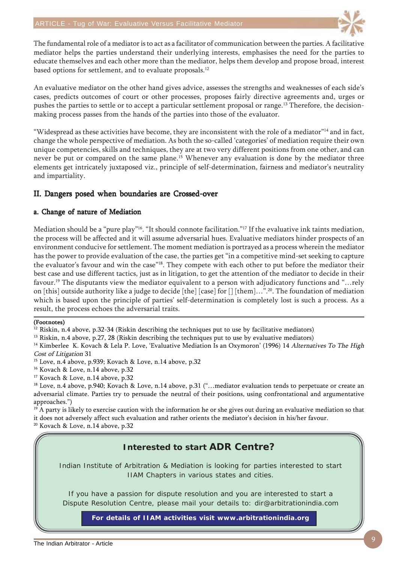

The fundamental role of a mediator is to act as a facilitator of communication between the parties. A facilitative mediator helps the parties understand their underlying interests, emphasises the need for the parties to educate themselves and each other more than the mediator, helps them develop and propose broad, interest based options for settlement, and to evaluate proposals.<sup>12</sup>

An evaluative mediator on the other hand gives advice, assesses the strengths and weaknesses of each side's cases, predicts outcomes of court or other processes, proposes fairly directive agreements and, urges or pushes the parties to settle or to accept a particular settlement proposal or range.<sup>13</sup> Therefore, the decisionmaking process passes from the hands of the parties into those of the evaluator.

"Widespread as these activities have become, they are inconsistent with the role of a mediator"14 and in fact, change the whole perspective of mediation. As both the so-called 'categories' of mediation require their own unique competencies, skills and techniques, they are at two very different positions from one other, and can never be put or compared on the same plane.<sup>15</sup> Whenever any evaluation is done by the mediator three elements get intricately juxtaposed viz., principle of self-determination, fairness and mediator's neutrality and impartiality.

# II. Dangers posed when boundaries are Crossed-over

### a. Change of nature of Mediation

Mediation should be a "pure play"<sup>16</sup>. "It should connote facilitation."<sup>17</sup> If the evaluative ink taints mediation, the process will be affected and it will assume adversarial hues. Evaluative mediators hinder prospects of an environment conducive for settlement. The moment mediation is portrayed as a process wherein the mediator has the power to provide evaluation of the case, the parties get "in a competitive mind-set seeking to capture the evaluator's favour and win the case"18. They compete with each other to put before the mediator their best case and use different tactics, just as in litigation, to get the attention of the mediator to decide in their favour.<sup>19</sup> The disputants view the mediator equivalent to a person with adjudicatory functions and "…rely on [this] outside authority like a judge to decide [the] [case] for [] [them]…".20. The foundation of mediation which is based upon the principle of parties' self-determination is completely lost is such a process. As a result, the process echoes the adversarial traits.

#### (Footnotes)

 $12$  Riskin, n.4 above, p.32-34 (Riskin describing the techniques put to use by facilitative mediators)

<sup>13</sup> Riskin, n.4 above, p.27, 28 (Riskin describing the techniques put to use by evaluative mediators)

<sup>14</sup> Kimberlee K. Kovach & Lela P. Love, 'Evaluative Mediation Is an Oxymoron' (1996) 14 Alternatives To The High Cost of Litigation 31

<sup>15</sup> Love, n.4 above, p.939; Kovach & Love, n.14 above, p.32

<sup>16</sup> Kovach & Love, n.14 above, p.32

<sup>17</sup> Kovach & Love, n.14 above, p.32

<sup>18</sup> Love, n.4 above, p.940; Kovach & Love, n.14 above, p.31 ("...mediator evaluation tends to perpetuate or create an adversarial climate. Parties try to persuade the neutral of their positions, using confrontational and argumentative approaches.")

 $19$  A party is likely to exercise caution with the information he or she gives out during an evaluative mediation so that it does not adversely affect such evaluation and rather orients the mediator's decision in his/her favour.

20 Kovach & Love, n.14 above, p.32

# **Interested to start ADR Centre?**

Indian Institute of Arbitration & Mediation is looking for parties interested to start IIAM Chapters in various states and cities.

If you have a passion for dispute resolution and you are interested to start a Dispute Resolution Centre, please mail your details to: dir@arbitrationindia.com

**For details of IIAM activities visit www.arbitrationindia.org**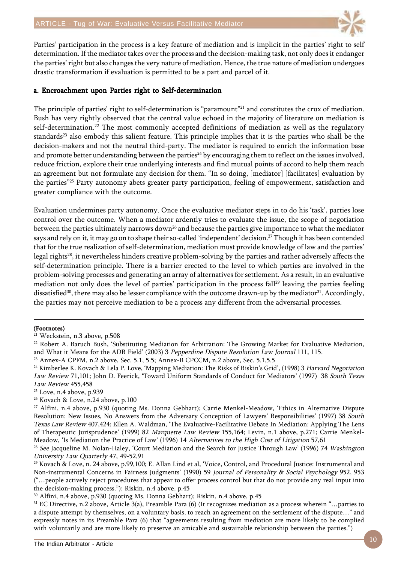

Parties' participation in the process is a key feature of mediation and is implicit in the parties' right to self determination. If the mediator takes over the process and the decision-making task, not only does it endanger the parties' right but also changes the very nature of mediation. Hence, the true nature of mediation undergoes drastic transformation if evaluation is permitted to be a part and parcel of it.

### a. Encroachment upon Parties right to Self-determination

The principle of parties' right to self-determination is "paramount"<sup>21</sup> and constitutes the crux of mediation. Bush has very rightly observed that the central value echoed in the majority of literature on mediation is self-determination.<sup>22</sup> The most commonly accepted definitions of mediation as well as the regulatory standards<sup>23</sup> also embody this salient feature. This principle implies that it is the parties who shall be the decision-makers and not the neutral third-party. The mediator is required to enrich the information base and promote better understanding between the parties<sup>24</sup> by encouraging them to reflect on the issues involved, reduce friction, explore their true underlying interests and find mutual points of accord to help them reach an agreement but not formulate any decision for them. "In so doing, [mediator] [facilitates] evaluation by the parties"<sup>25</sup> Party autonomy abets greater party participation, feeling of empowerment, satisfaction and greater compliance with the outcome.

Evaluation undermines party autonomy. Once the evaluative mediator steps in to do his 'task', parties lose control over the outcome. When a mediator ardently tries to evaluate the issue, the scope of negotiation between the parties ultimately narrows down<sup>26</sup> and because the parties give importance to what the mediator says and rely on it, it may go on to shape their so-called 'independent' decision.<sup>27</sup> Though it has been contended that for the true realization of self-determination, mediation must provide knowledge of law and the parties' legal rights28, it nevertheless hinders creative problem-solving by the parties and rather adversely affects the self-determination principle. There is a barrier erected to the level to which parties are involved in the problem-solving processes and generating an array of alternatives for settlement. As a result, in an evaluative mediation not only does the level of parties' participation in the process fall<sup>29</sup> leaving the parties feeling dissatisfied<sup>30</sup>, there may also be lesser compliance with the outcome drawn-up by the mediator<sup>31</sup>. Accordingly, the parties may not perceive mediation to be a process any different from the adversarial processes.

#### (Footnotes)

<sup>21</sup> Weckstein, n.3 above, p.508

<sup>&</sup>lt;sup>22</sup> Robert A. Baruch Bush, 'Substituting Mediation for Arbitration: The Growing Market for Evaluative Mediation, and What it Means for the ADR Field' (2003) 3 Pepperdine Dispute Resolution Law Journal 111, 115.

<sup>23</sup> Annex-A CPFM, n.2 above, Sec. 5.1, 5.5; Annex-B CPCCM, n.2 above, Sec. 5.1,5.5

<sup>&</sup>lt;sup>24</sup> Kimberlee K. Kovach & Lela P. Love, 'Mapping Mediation: The Risks of Riskin's Grid', (1998) 3 Harvard Negotiation Law Review 71,101; John D. Feerick, 'Toward Uniform Standards of Conduct for Mediators' (1997) 38 South Texas Law Review 455,458

<sup>25</sup> Love, n.4 above, p.939

<sup>26</sup> Kovach & Love, n.24 above, p.100

<sup>27</sup> Alfini, n.4 above, p.930 (quoting Ms. Donna Gebhart); Carrie Menkel-Meadow, 'Ethics in Alternative Dispute Resolution: New Issues, No Answers from the Adversary Conception of Lawyers' Responsibilities' (1997) 38 South Texas Law Review 407,424; Ellen A. Waldman, 'The Evaluative-Facilitative Debate In Mediation: Applying The Lens of Therapeutic Jurisprudence' (1999) 82 Marquette Law Review 155,164; Levin, n.1 above, p.271; Carrie Menkel-Meadow, 'Is Mediation the Practice of Law' (1996) 14 Alternatives to the High Cost of Litigation 57,61

<sup>&</sup>lt;sup>28</sup> See Jacqueline M. Nolan-Haley, 'Court Mediation and the Search for Justice Through Law' (1996) 74 Washington University Law Quarterly 47, 49-52,91

<sup>29</sup> Kovach & Love, n. 24 above, p.99,100; E. Allan Lind et al, 'Voice, Control, and Procedural Justice: Instrumental and Non-instrumental Concerns in Fairness Judgments' (1990) 59 Journal of Personality & Social Psychology 952, 953 ("…people actively reject procedures that appear to offer process control but that do not provide any real input into the decision-making process."); Riskin, n.4 above, p.45

<sup>30</sup> Alfini, n.4 above, p.930 (quoting Ms. Donna Gebhart); Riskin, n.4 above, p.45

 $31$  EC Directive, n.2 above, Article 3(a), Preamble Para (6) (It recognizes mediation as a process wherein "... parties to a dispute attempt by themselves, on a voluntary basis, to reach an agreement on the settlement of the dispute…" and expressly notes in its Preamble Para (6) that "agreements resulting from mediation are more likely to be complied with voluntarily and are more likely to preserve an amicable and sustainable relationship between the parties.")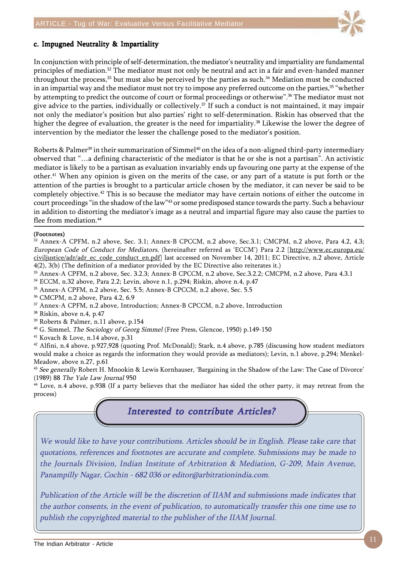

### c. Impugned Neutrality & Impartiality

In conjunction with principle of self-determination, the mediator's neutrality and impartiality are fundamental principles of mediation.32 The mediator must not only be neutral and act in a fair and even-handed manner throughout the process,33 but must also be perceived by the parties as such.34 Mediation must be conducted in an impartial way and the mediator must not try to impose any preferred outcome on the parties,<sup>35</sup> "whether by attempting to predict the outcome of court or formal proceedings or otherwise".36 The mediator must not give advice to the parties, individually or collectively.37 If such a conduct is not maintained, it may impair not only the mediator's position but also parties' right to self-determination. Riskin has observed that the higher the degree of evaluation, the greater is the need for impartiality.<sup>38</sup> Likewise the lower the degree of intervention by the mediator the lesser the challenge posed to the mediator's position.

Roberts & Palmer<sup>39</sup> in their summarization of Simmel<sup>40</sup> on the idea of a non-aligned third-party intermediary observed that "…a defining characteristic of the mediator is that he or she is not a partisan". An activistic mediator is likely to be a partisan as evaluation invariably ends up favouring one party at the expense of the other.41 When any opinion is given on the merits of the case, or any part of a statute is put forth or the attention of the parties is brought to a particular article chosen by the mediator, it can never be said to be completely objective.42 This is so because the mediator may have certain notions of either the outcome in court proceedings "in the shadow of the law"43 or some predisposed stance towards the party. Such a behaviour in addition to distorting the mediator's image as a neutral and impartial figure may also cause the parties to flee from mediation.<sup>44</sup>

#### (Footnotes)

32 Annex-A CPFM, n.2 above, Sec. 3.1; Annex-B CPCCM, n.2 above, Sec.3.1; CMCPM, n.2 above, Para 4.2, 4.3; European Code of Conduct for Mediators, (hereinafter referred as 'ECCM') Para 2.2 [http://www.ec.europa.eu/ civiljustice/adr/adr\_ec\_code\_conduct\_en.pdf] last accessed on November 14, 2011; EC Directive, n.2 above, Article 4(2), 3(b) (The definition of a mediator provided by the EC Directive also reiterates it.)

- 33 Annex-A CPFM, n.2 above, Sec. 3.2.3; Annex-B CPCCM, n.2 above, Sec.3.2.2; CMCPM, n.2 above, Para 4.3.1
- 34 ECCM, n.32 above, Para 2.2; Levin, above n.1, p.294; Riskin, above n.4, p.47
- 35 Annex-A CPFM, n.2 above, Sec. 5.5; Annex-B CPCCM, n.2 above, Sec. 5.5
- 36 CMCPM, n.2 above, Para 4.2, 6.9
- 37 Annex-A CPFM, n.2 above, Introduction; Annex-B CPCCM, n.2 above, Introduction
- 38 Riskin, above n.4, p.47
- 39 Roberts & Palmer, n.11 above, p.154
- <sup>40</sup> G. Simmel, *The Sociology of Georg Simmel* (Free Press, Glencoe, 1950) p.149-150
- 41 Kovach & Love, n.14 above, p.31

42 Alfini, n.4 above, p.927,928 (quoting Prof. McDonald); Stark, n.4 above, p.785 (discussing how student mediators would make a choice as regards the information they would provide as mediators); Levin, n.1 above, p.294; Menkel-Meadow, above n.27, p.61

<sup>43</sup> See generally Robert H. Mnookin & Lewis Kornhauser, 'Bargaining in the Shadow of the Law: The Case of Divorce' (1989) 88 The Yale Law Journal 950

44 Love, n.4 above, p.938 (If a party believes that the mediator has sided the other party, it may retreat from the process)

# Interested to contribute Articles?

We would like to have your contributions. Articles should be in English. Please take care that quotations, references and footnotes are accurate and complete. Submissions may be made to the Journals Division, Indian Institute of Arbitration & Mediation, G-209, Main Avenue, Panampilly Nagar, Cochin - 682 036 or editor@arbitrationindia.com.

Publication of the Article will be the discretion of IIAM and submissions made indicates that the author consents, in the event of publication, to automatically transfer this one time use to publish the copyrighted material to the publisher of the IIAM Journal.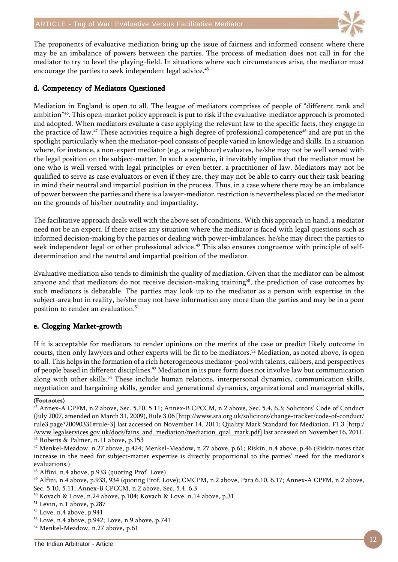

The proponents of evaluative mediation bring up the issue of fairness and informed consent where there may be an imbalance of powers between the parties. The process of mediation does not call in for the mediator to try to level the playing-field. In situations where such circumstances arise, the mediator must encourage the parties to seek independent legal advice.<sup>45</sup>

#### d. Competency of Mediators Questioned

Mediation in England is open to all. The league of mediators comprises of people of "different rank and ambition"46. This open-market policy approach is put to risk if the evaluative-mediator approach is promoted and adopted. When mediators evaluate a case applying the relevant law to the specific facts, they engage in the practice of law.47 These activities require a high degree of professional competence48 and are put in the spotlight particularly when the mediator-pool consists of people varied in knowledge and skills. In a situation where, for instance, a non-expert mediator (e.g. a neighbour) evaluates, he/she may not be well versed with the legal position on the subject-matter. In such a scenario, it inevitably implies that the mediator must be one who is well versed with legal principles or even better, a practitioner of law. Mediators may not be qualified to serve as case evaluators or even if they are, they may not be able to carry out their task bearing in mind their neutral and impartial position in the process. Thus, in a case where there may be an imbalance of power between the parties and there is a lawyer-mediator, restriction is nevertheless placed on the mediator on the grounds of his/her neutrality and impartiality.

The facilitative approach deals well with the above set of conditions. With this approach in hand, a mediator need not be an expert. If there arises any situation where the mediator is faced with legal questions such as informed decision-making by the parties or dealing with power-imbalances, he/she may direct the parties to seek independent legal or other professional advice.<sup>49</sup> This also ensures congruence with principle of selfdetermination and the neutral and impartial position of the mediator.

Evaluative mediation also tends to diminish the quality of mediation. Given that the mediator can be almost anyone and that mediators do not receive decision-making training<sup>50</sup>, the prediction of case outcomes by such mediators is debatable. The parties may look up to the mediator as a person with expertise in the subject-area but in reality, he/she may not have information any more than the parties and may be in a poor position to render an evaluation.<sup>51</sup>

### e. Clogging Market-growth

If it is acceptable for mediators to render opinions on the merits of the case or predict likely outcome in courts, then only lawyers and other experts will be fit to be mediators.52 Mediation, as noted above, is open to all. This helps in the formation of a rich heterogeneous mediator-pool with talents, calibers, and perspectives of people based in different disciplines.53 Mediation in its pure form does not involve law but communication along with other skills.<sup>54</sup> These include human relations, interpersonal dynamics, communication skills, negotiation and bargaining skills, gender and generational dynamics, organizational and managerial skills,

#### (Footnotes)

<sup>45</sup> Annex-A CPFM, n.2 above, Sec. 5.10, 5.11; Annex-B CPCCM, n.2 above, Sec. 5.4, 6.3; Solicitors' Code of Conduct (July 2007, amended on March 31, 2009), Rule 3.06 [http://www.sra.org.uk/solicitors/change-tracker/code-of-conduct/ rule3.page?20090331#rule-3] last accessed on November 14, 2011; Quality Mark Standard for Mediation, F1.3 [http:/ /www.legalservices.gov.uk/docs/fains\_and\_mediation/mediation\_qual\_mark.pdf] last accessed on November 16, 2011. 46 Roberts & Palmer, n.11 above, p.153

<sup>47</sup> Menkel-Meadow, n.27 above, p.424; Menkel-Meadow, n.27 above, p.61; Riskin, n.4 above, p.46 (Riskin notes that increase in the need for subject-matter expertise is directly proportional to the parties' need for the mediator's evaluations.)

<sup>48</sup> Alfini, n.4 above, p.933 (quoting Prof. Love)

<sup>49</sup> Alfini, n.4 above, p.933, 934 (quoting Prof. Love); CMCPM, n.2 above, Para 6.10, 6.17; Annex-A CPFM, n.2 above, Sec. 5.10, 5.11; Annex-B CPCCM, n.2 above, Sec. 5.4, 6.3

<sup>50</sup> Kovach & Love, n.24 above, p.104; Kovach & Love, n.14 above, p.31

<sup>51</sup> Levin, n.1 above, p.287

<sup>52</sup> Love, n.4 above, p.941

<sup>53</sup> Love, n.4 above, p.942; Love, n.9 above, p.741

<sup>54</sup> Menkel-Meadow, n.27 above, p.61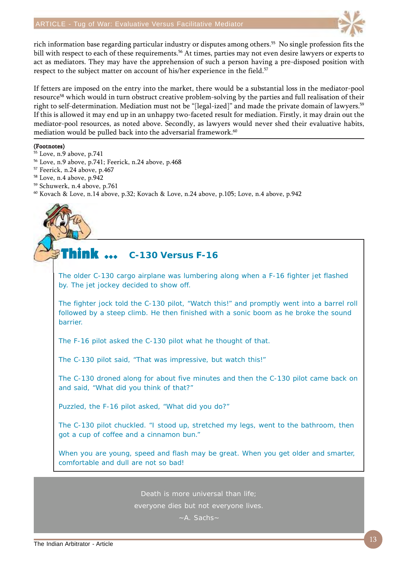

rich information base regarding particular industry or disputes among others.55 No single profession fits the bill with respect to each of these requirements.<sup>56</sup> At times, parties may not even desire lawyers or experts to act as mediators. They may have the apprehension of such a person having a pre-disposed position with respect to the subject matter on account of his/her experience in the field.<sup>57</sup>

If fetters are imposed on the entry into the market, there would be a substantial loss in the mediator-pool resource<sup>58</sup> which would in turn obstruct creative problem-solving by the parties and full realisation of their right to self-determination. Mediation must not be "[legal-ized]" and made the private domain of lawyers.<sup>59</sup> If this is allowed it may end up in an unhappy two-faceted result for mediation. Firstly, it may drain out the mediator-pool resources, as noted above. Secondly, as lawyers would never shed their evaluative habits, mediation would be pulled back into the adversarial framework.<sup>60</sup>

#### (Footnotes)

- 55 Love, n.9 above, p.741
- 56 Love, n.9 above, p.741; Feerick, n.24 above, p.468
- 57 Feerick, n.24 above, p.467
- 58 Love, n.4 above, p.942
- 59 Schuwerk, n.4 above, p.761
- 60 Kovach & Love, n.14 above, p.32; Kovach & Love, n.24 above, p.105; Love, n.4 above, p.942

#### Think  $\ldots$ **C-130 Versus F-16**

The older C-130 cargo airplane was lumbering along when a F-16 fighter jet flashed by. The jet jockey decided to show off.

The fighter jock told the C-130 pilot, "Watch this!" and promptly went into a barrel roll followed by a steep climb. He then finished with a sonic boom as he broke the sound barrier.

The F-16 pilot asked the C-130 pilot what he thought of that.

The C-130 pilot said, "That was impressive, but watch this!"

The C-130 droned along for about five minutes and then the C-130 pilot came back on and said, "What did you think of that?"

Puzzled, the F-16 pilot asked, "What did you do?"

The C-130 pilot chuckled. "I stood up, stretched my legs, went to the bathroom, then got a cup of coffee and a cinnamon bun."

When you are young, speed and flash may be great. When you get older and smarter, comfortable and dull are not so bad!

Death is more universal than life;

everyone dies but not everyone lives.

~A. Sachs~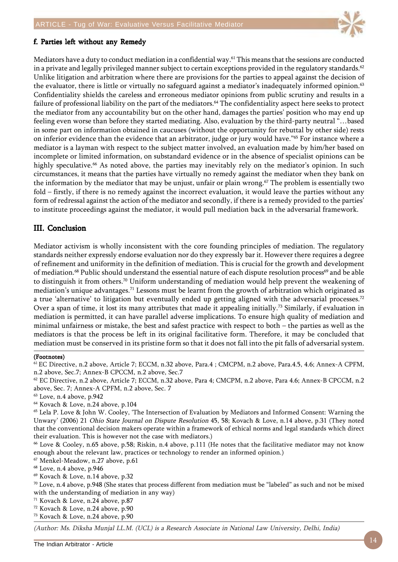

#### f. Parties left without any Remedy

Mediators have a duty to conduct mediation in a confidential way.61 This means that the sessions are conducted in a private and legally privileged manner subject to certain exceptions provided in the regulatory standards.<sup>62</sup> Unlike litigation and arbitration where there are provisions for the parties to appeal against the decision of the evaluator, there is little or virtually no safeguard against a mediator's inadequately informed opinion.<sup>63</sup> Confidentiality shields the careless and erroneous mediator opinions from public scrutiny and results in a failure of professional liability on the part of the mediators.<sup>64</sup> The confidentiality aspect here seeks to protect the mediator from any accountability but on the other hand, damages the parties' position who may end up feeling even worse than before they started mediating. Also, evaluation by the third-party neutral "…based in some part on information obtained in caucuses (without the opportunity for rebuttal by other side) rests on inferior evidence than the evidence that an arbitrator, judge or jury would have."65 For instance where a mediator is a layman with respect to the subject matter involved, an evaluation made by him/her based on incomplete or limited information, on substandard evidence or in the absence of specialist opinions can be highly speculative.<sup>66</sup> As noted above, the parties may inevitably rely on the mediator's opinion. In such circumstances, it means that the parties have virtually no remedy against the mediator when they bank on the information by the mediator that may be unjust, unfair or plain wrong.<sup>67</sup> The problem is essentially two fold – firstly, if there is no remedy against the incorrect evaluation, it would leave the parties without any form of redressal against the action of the mediator and secondly, if there is a remedy provided to the parties' to institute proceedings against the mediator, it would pull mediation back in the adversarial framework.

### III. Conclusion

Mediator activism is wholly inconsistent with the core founding principles of mediation. The regulatory standards neither expressly endorse evaluation nor do they expressly bar it. However there requires a degree of refinement and uniformity in the definition of mediation. This is crucial for the growth and development of mediation.<sup>68</sup> Public should understand the essential nature of each dispute resolution process<sup>69</sup> and be able to distinguish it from others.70 Uniform understanding of mediation would help prevent the weakening of mediation's unique advantages.71 Lessons must be learnt from the growth of arbitration which originated as a true 'alternative' to litigation but eventually ended up getting aligned with the adversarial processes.<sup>72</sup> Over a span of time, it lost its many attributes that made it appealing initially.73 Similarly, if evaluation in mediation is permitted, it can have parallel adverse implications. To ensure high quality of mediation and minimal unfairness or mistake, the best and safest practice with respect to both – the parties as well as the mediators is that the process be left in its original facilitative form. Therefore, it may be concluded that mediation must be conserved in its pristine form so that it does not fall into the pit falls of adversarial system.

#### (Footnotes)

63 Love, n.4 above, p.942

64 Kovach & Love, n.24 above, p.104

65 Lela P. Love & John W. Cooley, 'The Intersection of Evaluation by Mediators and Informed Consent: Warning the Unwary' (2006) 21 Ohio State Journal on Dispute Resolution 45, 58; Kovach & Love, n.14 above, p.31 (They noted that the conventional decision makers operate within a framework of ethical norms and legal standards which direct their evaluation. This is however not the case with mediators.)

66 Love & Cooley, n.65 above, p.58; Riskin, n.4 above, p.111 (He notes that the facilitative mediator may not know enough about the relevant law, practices or technology to render an informed opinion.)

67 Menkel-Meadow, n.27 above, p.61

68 Love, n.4 above, p.946

69 Kovach & Love, n.14 above, p.32

 $70$  Love, n.4 above, p.948 (She states that process different from mediation must be "labeled" as such and not be mixed with the understanding of mediation in any way)

71 Kovach & Love, n.24 above, p.87

72 Kovach & Love, n.24 above, p.90

73 Kovach & Love, n.24 above, p.90

(Author: Ms. Diksha Munjal LL.M. (UCL) is a Research Associate in National Law University, Delhi, India)

<sup>61</sup> EC Directive, n.2 above, Article 7; ECCM, n.32 above, Para.4 ; CMCPM, n.2 above, Para.4.5, 4.6; Annex-A CPFM, n.2 above, Sec.7; Annex-B CPCCM, n.2 above, Sec.7

<sup>62</sup> EC Directive, n.2 above, Article 7; ECCM, n.32 above, Para 4; CMCPM, n.2 above, Para 4.6; Annex-B CPCCM, n.2 above, Sec. 7; Annex-A CPFM, n.2 above, Sec. 7